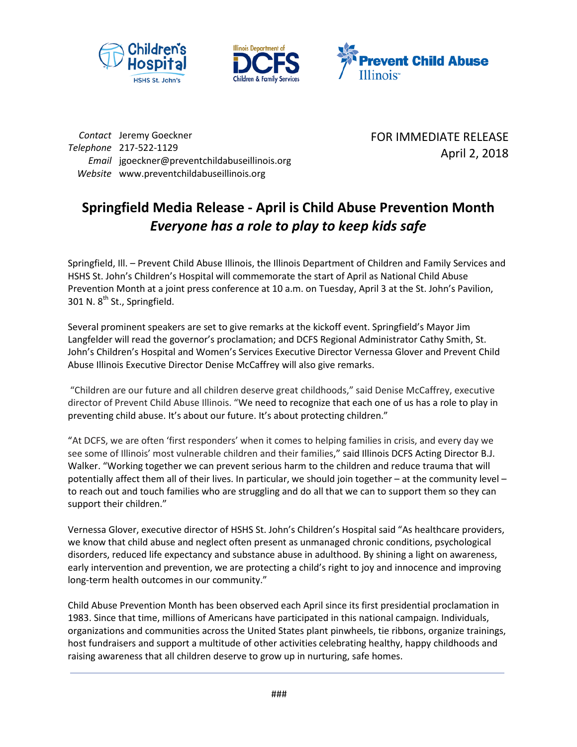





*Contact* Jeremy Goeckner *Telephone* 217-522-1129 *Email* jgoeckner@preventchildabuseillinois.org *Website* www.preventchildabuseillinois.org

FOR IMMEDIATE RELEASE April 2, 2018

## **Springfield Media Release - April is Child Abuse Prevention Month** *Everyone has a role to play to keep kids safe*

Springfield, Ill. – Prevent Child Abuse Illinois, the Illinois Department of Children and Family Services and HSHS St. John's Children's Hospital will commemorate the start of April as National Child Abuse Prevention Month at a joint press conference at 10 a.m. on Tuesday, April 3 at the St. John's Pavilion, 301 N. 8<sup>th</sup> St., Springfield.

Several prominent speakers are set to give remarks at the kickoff event. Springfield's Mayor Jim Langfelder will read the governor's proclamation; and DCFS Regional Administrator Cathy Smith, St. John's Children's Hospital and Women's Services Executive Director Vernessa Glover and Prevent Child Abuse Illinois Executive Director Denise McCaffrey will also give remarks.

"Children are our future and all children deserve great childhoods," said Denise McCaffrey, executive director of Prevent Child Abuse Illinois. "We need to recognize that each one of us has a role to play in preventing child abuse. It's about our future. It's about protecting children."

"At DCFS, we are often 'first responders' when it comes to helping families in crisis, and every day we see some of Illinois' most vulnerable children and their families," said Illinois DCFS Acting Director B.J. Walker. "Working together we can prevent serious harm to the children and reduce trauma that will potentially affect them all of their lives. In particular, we should join together – at the community level – to reach out and touch families who are struggling and do all that we can to support them so they can support their children."

Vernessa Glover, executive director of HSHS St. John's Children's Hospital said "As healthcare providers, we know that child abuse and neglect often present as unmanaged chronic conditions, psychological disorders, reduced life expectancy and substance abuse in adulthood. By shining a light on awareness, early intervention and prevention, we are protecting a child's right to joy and innocence and improving long-term health outcomes in our community."

Child Abuse Prevention Month has been observed each April since its first presidential proclamation in 1983. Since that time, millions of Americans have participated in this national campaign. Individuals, organizations and communities across the United States plant pinwheels, tie ribbons, organize trainings, host fundraisers and support a multitude of other activities celebrating healthy, happy childhoods and raising awareness that all children deserve to grow up in nurturing, safe homes.